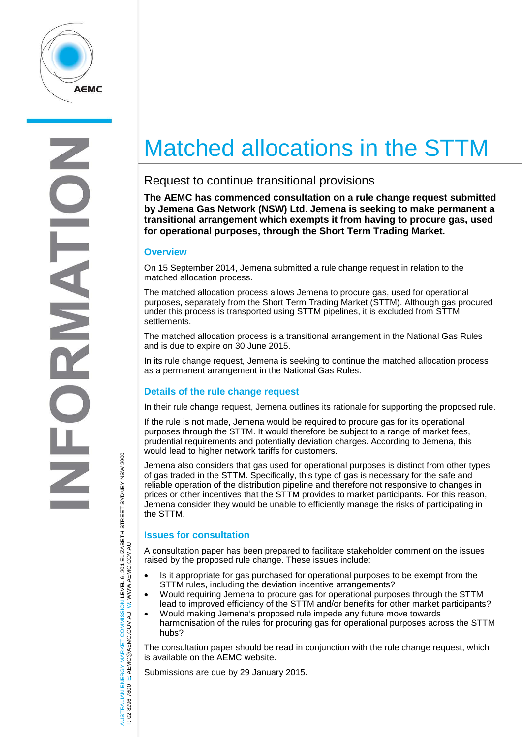

E  $\overline{z}$ 

# Matched allocations in the STTM

## Request to continue transitional provisions

**The AEMC has commenced consultation on a rule change request submitted by Jemena Gas Network (NSW) Ltd. Jemena is seeking to make permanent a transitional arrangement which exempts it from having to procure gas, used for operational purposes, through the Short Term Trading Market.**

#### **Overview**

On 15 September 2014, Jemena submitted a rule change request in relation to the matched allocation process.

The matched allocation process allows Jemena to procure gas, used for operational purposes, separately from the Short Term Trading Market (STTM). Although gas procured under this process is transported using STTM pipelines, it is excluded from STTM settlements.

The matched allocation process is a transitional arrangement in the National Gas Rules and is due to expire on 30 June 2015.

In its rule change request, Jemena is seeking to continue the matched allocation process as a permanent arrangement in the National Gas Rules.

### **Details of the rule change request**

In their rule change request, Jemena outlines its rationale for supporting the proposed rule.

If the rule is not made, Jemena would be required to procure gas for its operational purposes through the STTM. It would therefore be subject to a range of market fees, prudential requirements and potentially deviation charges. According to Jemena, this would lead to higher network tariffs for customers.

Jemena also considers that gas used for operational purposes is distinct from other types of gas traded in the STTM. Specifically, this type of gas is necessary for the safe and reliable operation of the distribution pipeline and therefore not responsive to changes in prices or other incentives that the STTM provides to market participants. For this reason, Jemena consider they would be unable to efficiently manage the risks of participating in the STTM.

#### **Issues for consultation**

AUSTRALIAN ENERGY MARKET COMMISSION LEVEL 6, 201 ELIZABETH STREET SYDNEY NSW 2000

ISTRALIAN ENERGY MARKET COMMISSION LEVEL 6, 201 ELIZABETH STREET SYDNEY NSW 2000<br>02 8296 7800 E: AEMC@AEMC.GOV.AU W: WWW.AEMC.GOV.AU

W: WWW.AEMC.GOV.AU

T: 02 8296 7800 E: AEMC@AEMC.GOV.AU

A consultation paper has been prepared to facilitate stakeholder comment on the issues raised by the proposed rule change. These issues include:

- Is it appropriate for gas purchased for operational purposes to be exempt from the STTM rules, including the deviation incentive arrangements?
- Would requiring Jemena to procure gas for operational purposes through the STTM lead to improved efficiency of the STTM and/or benefits for other market participants?
- Would making Jemena's proposed rule impede any future move towards harmonisation of the rules for procuring gas for operational purposes across the STTM hubs?

The consultation paper should be read in conjunction with the rule change request, which is available on the AEMC website.

Submissions are due by 29 January 2015.